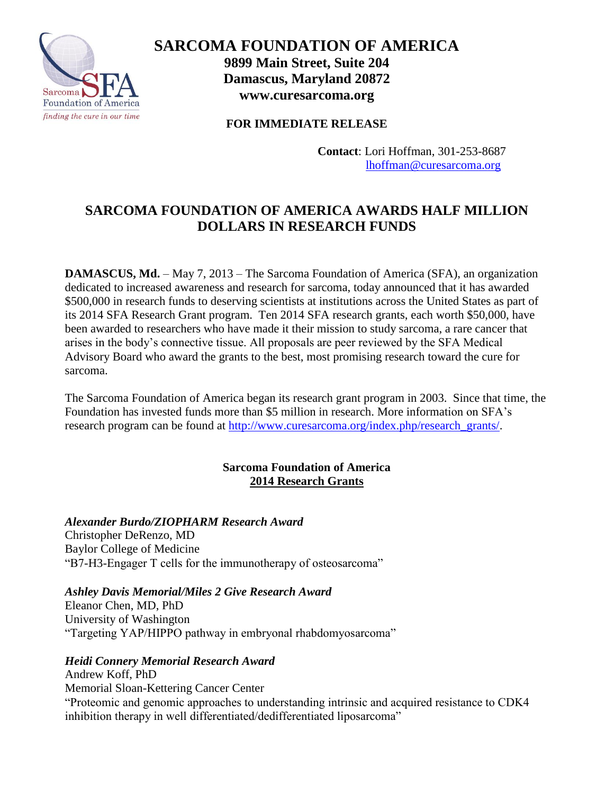

**SARCOMA FOUNDATION OF AMERICA 9899 Main Street, Suite 204 Damascus, Maryland 20872 www.curesarcoma.org** 

**FOR IMMEDIATE RELEASE**

**Contact**: Lori Hoffman, 301-253-8687 [lhoffman@curesarcoma.org](mailto:lhoffman@curesarcoma.org) 

# **SARCOMA FOUNDATION OF AMERICA AWARDS HALF MILLION DOLLARS IN RESEARCH FUNDS**

**DAMASCUS, Md.** – May 7, 2013 – The Sarcoma Foundation of America (SFA), an organization dedicated to increased awareness and research for sarcoma, today announced that it has awarded \$500,000 in research funds to deserving scientists at institutions across the United States as part of its 2014 SFA Research Grant program. Ten 2014 SFA research grants, each worth \$50,000, have been awarded to researchers who have made it their mission to study sarcoma, a rare cancer that arises in the body's connective tissue. All proposals are peer reviewed by the SFA Medical Advisory Board who award the grants to the best, most promising research toward the cure for sarcoma.

The Sarcoma Foundation of America began its research grant program in 2003. Since that time, the Foundation has invested funds more than \$5 million in research. More information on SFA's research program can be found at [http://www.curesarcoma.org/index.php/research\\_grants/.](http://www.curesarcoma.org/index.php/research_grants/)

# **Sarcoma Foundation of America 2014 Research Grants**

# *Alexander Burdo/ZIOPHARM Research Award*

Christopher DeRenzo, MD Baylor College of Medicine "B7-H3-Engager T cells for the immunotherapy of osteosarcoma"

# *Ashley Davis Memorial/Miles 2 Give Research Award*

Eleanor Chen, MD, PhD University of Washington "Targeting YAP/HIPPO pathway in embryonal rhabdomyosarcoma"

# *Heidi Connery Memorial Research Award*

Andrew Koff, PhD Memorial Sloan-Kettering Cancer Center "Proteomic and genomic approaches to understanding intrinsic and acquired resistance to CDK4 inhibition therapy in well differentiated/dedifferentiated liposarcoma"